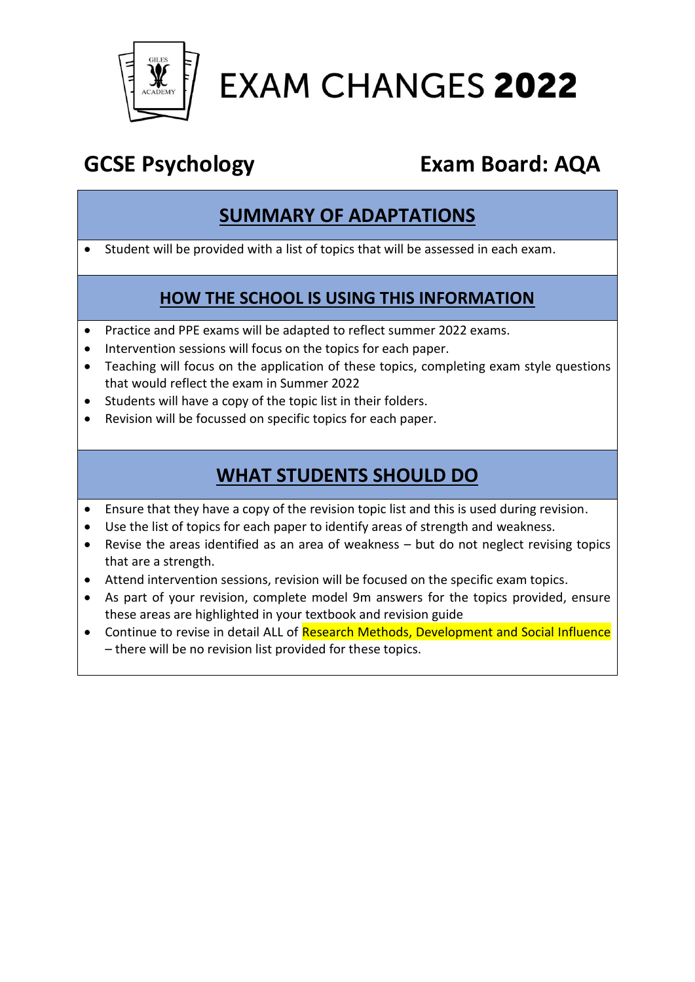

# **EXAM CHANGES 2022**

## **GCSE Psychology Exam Board: AQA**

#### **SUMMARY OF ADAPTATIONS**

• Student will be provided with a list of topics that will be assessed in each exam.

#### **HOW THE SCHOOL IS USING THIS INFORMATION**

- Practice and PPE exams will be adapted to reflect summer 2022 exams.
- Intervention sessions will focus on the topics for each paper.
- Teaching will focus on the application of these topics, completing exam style questions that would reflect the exam in Summer 2022
- Students will have a copy of the topic list in their folders.
- Revision will be focussed on specific topics for each paper.

### **WHAT STUDENTS SHOULD DO**

- Ensure that they have a copy of the revision topic list and this is used during revision.
- Use the list of topics for each paper to identify areas of strength and weakness.
- Revise the areas identified as an area of weakness but do not neglect revising topics that are a strength.
- Attend intervention sessions, revision will be focused on the specific exam topics.
- As part of your revision, complete model 9m answers for the topics provided, ensure these areas are highlighted in your textbook and revision guide
- Continue to revise in detail ALL of Research Methods, Development and Social Influence – there will be no revision list provided for these topics.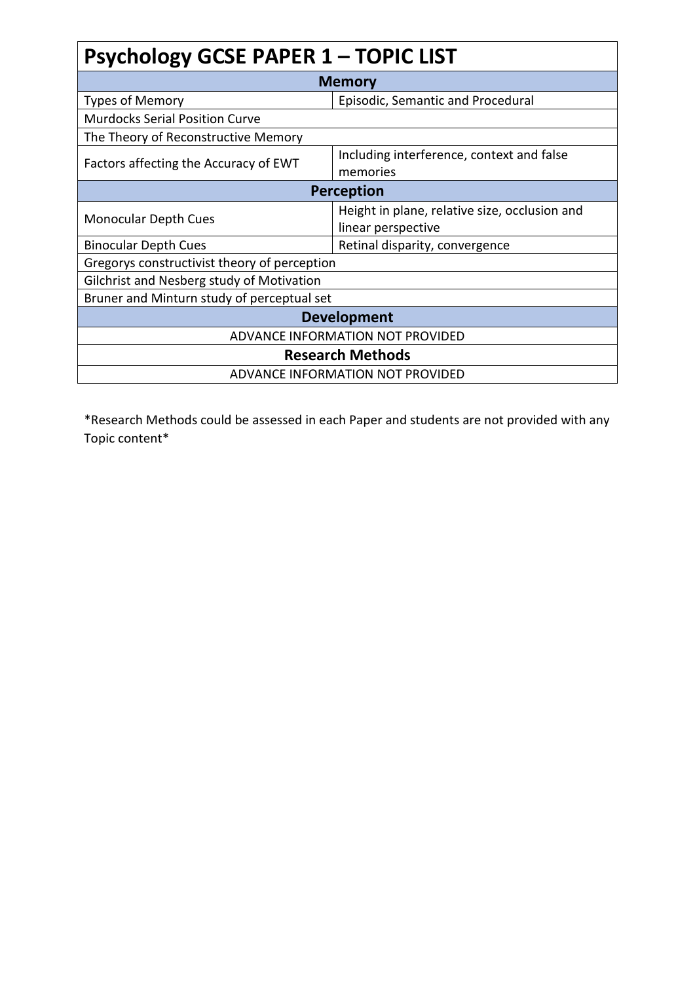# **Psychology GCSE PAPER 1 – TOPIC LIST**

| <b>Memory</b>                                |                                                                     |  |
|----------------------------------------------|---------------------------------------------------------------------|--|
| Types of Memory                              | Episodic, Semantic and Procedural                                   |  |
| <b>Murdocks Serial Position Curve</b>        |                                                                     |  |
| The Theory of Reconstructive Memory          |                                                                     |  |
| Factors affecting the Accuracy of EWT        | Including interference, context and false<br>memories               |  |
| Perception                                   |                                                                     |  |
| <b>Monocular Depth Cues</b>                  | Height in plane, relative size, occlusion and<br>linear perspective |  |
| <b>Binocular Depth Cues</b>                  | Retinal disparity, convergence                                      |  |
| Gregorys constructivist theory of perception |                                                                     |  |
| Gilchrist and Nesberg study of Motivation    |                                                                     |  |
| Bruner and Minturn study of perceptual set   |                                                                     |  |
| <b>Development</b>                           |                                                                     |  |
| ADVANCE INFORMATION NOT PROVIDED             |                                                                     |  |
| <b>Research Methods</b>                      |                                                                     |  |
|                                              | ADVANCE INFORMATION NOT PROVIDED                                    |  |

\*Research Methods could be assessed in each Paper and students are not provided with any Topic content\*